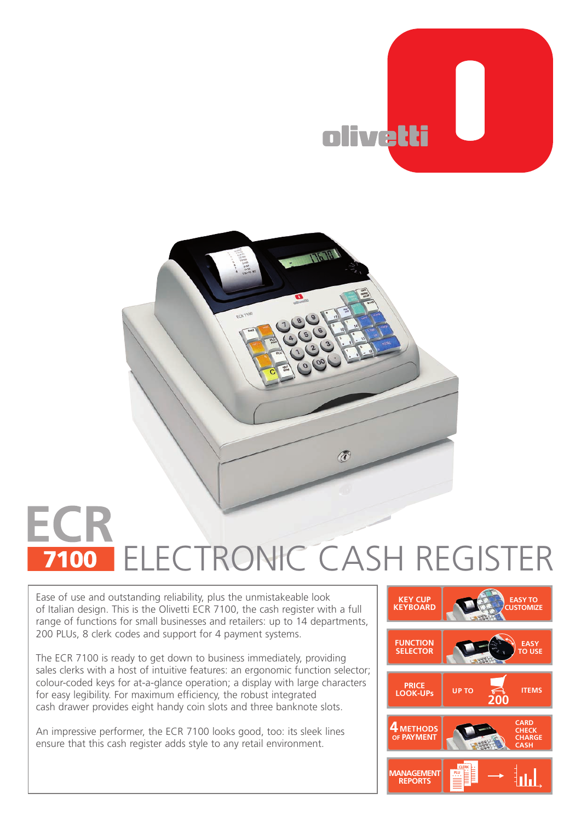



## **ECR** ELECTRONIC CASH REGISTER

Ease of use and outstanding reliability, plus the unmistakeable look of Italian design. This is the Olivetti ECR 7100, the cash register with a full range of functions for small businesses and retailers: up to 14 departments, 200 PLUs, 8 clerk codes and support for 4 payment systems.

The ECR 7100 is ready to get down to business immediately, providing sales clerks with a host of intuitive features: an ergonomic function selector; colour-coded keys for at-a-glance operation; a display with large characters for easy legibility. For maximum efficiency, the robust integrated cash drawer provides eight handy coin slots and three banknote slots.

An impressive performer, the ECR 7100 looks good, too: its sleek lines ensure that this cash register adds style to any retail environment.